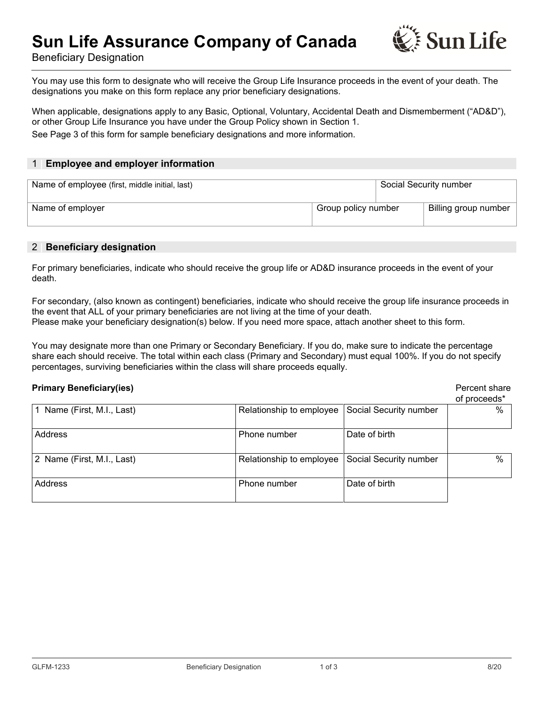# **Sun Life Assurance Company of Canada**



Beneficiary Designation

You may use this form to designate who will receive the Group Life Insurance proceeds in the event of your death. The designations you make on this form replace any prior beneficiary designations.

When applicable, designations apply to any Basic, Optional, Voluntary, Accidental Death and Dismemberment ("AD&D"), or other Group Life Insurance you have under the Group Policy shown in Section 1. See Page 3 of this form for sample beneficiary designations and more information.

#### 1 **| Employee and employer information**

| Name of employee (first, middle initial, last) |                     | Social Security number |                      |
|------------------------------------------------|---------------------|------------------------|----------------------|
| Name of employer                               | Group policy number |                        | Billing group number |

### 2 **| Beneficiary designation**

For primary beneficiaries, indicate who should receive the group life or AD&D insurance proceeds in the event of your death.

For secondary, (also known as contingent) beneficiaries, indicate who should receive the group life insurance proceeds in the event that ALL of your primary beneficiaries are not living at the time of your death. Please make your beneficiary designation(s) below. If you need more space, attach another sheet to this form.

You may designate more than one Primary or Secondary Beneficiary. If you do, make sure to indicate the percentage share each should receive. The total within each class (Primary and Secondary) must equal 100%. If you do not specify percentages, surviving beneficiaries within the class will share proceeds equally.

#### **Primary Beneficiary(ies) Primary Beneficiary(ies) Percent share**

|                            |                          |                        | of proceeds* |
|----------------------------|--------------------------|------------------------|--------------|
| 1 Name (First, M.I., Last) | Relationship to employee | Social Security number | %            |
| Address                    | Phone number             | Date of birth          |              |
| 2 Name (First, M.I., Last) | Relationship to employee | Social Security number | $\%$         |
| Address                    | Phone number             | Date of birth          |              |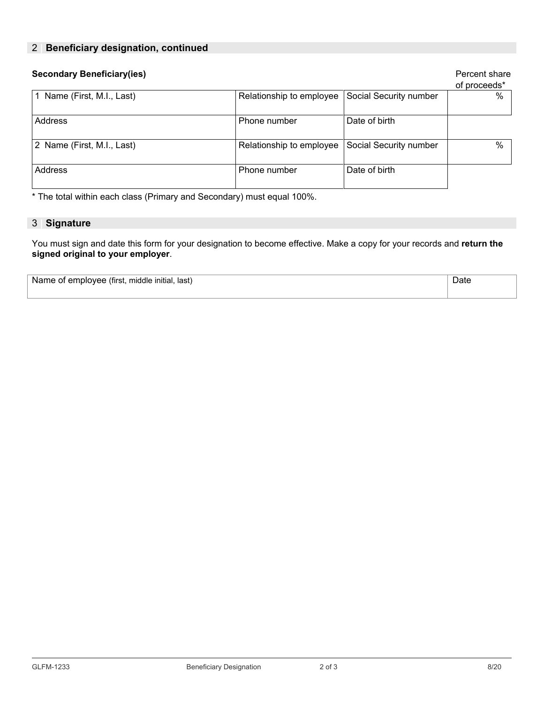# 2 **| Beneficiary designation, continued**

| <b>Secondary Beneficiary(ies)</b> |                          |                        | Percent share<br>of proceeds* |
|-----------------------------------|--------------------------|------------------------|-------------------------------|
| 1 Name (First, M.I., Last)        | Relationship to employee | Social Security number | %                             |
| Address                           | Phone number             | Date of birth          |                               |
| 2 Name (First, M.I., Last)        | Relationship to employee | Social Security number | $\%$                          |
| Address                           | Phone number             | Date of birth          |                               |

\* The total within each class (Primary and Secondary) must equal 100%.

## 3 **| Signature**

You must sign and date this form for your designation to become effective. Make a copy for your records and **return the signed original to your employer**.

| Name of employee (first, middle initial, last) |  |
|------------------------------------------------|--|
|------------------------------------------------|--|

**Date**